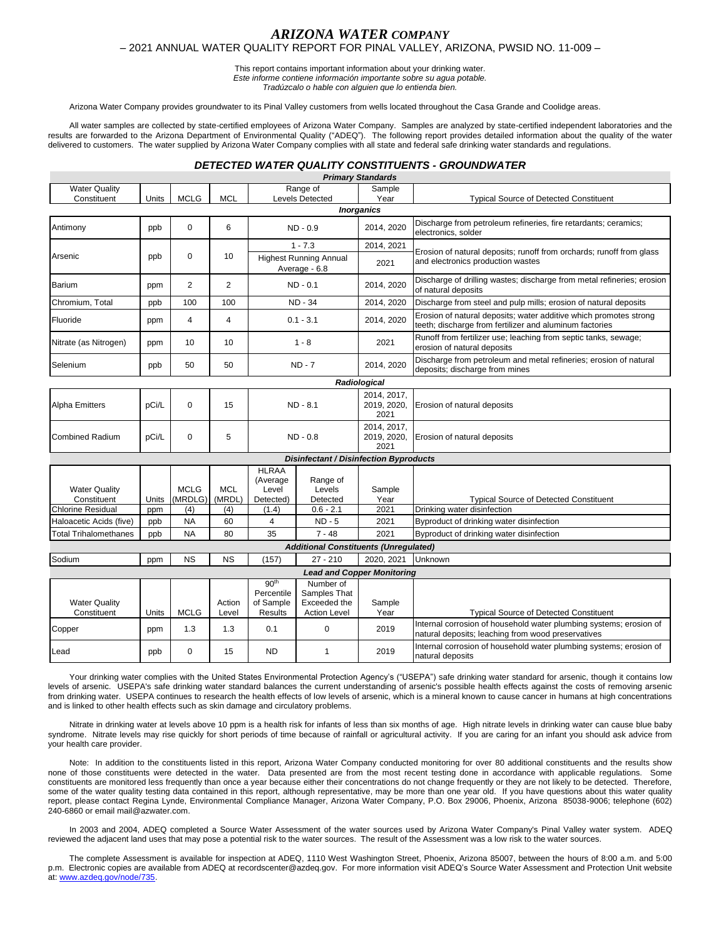## *ARIZONA WATER COMPANY* – 2021 ANNUAL WATER QUALITY REPORT FOR PINAL VALLEY, ARIZONA, PWSID NO. 11-009 –

This report contains important information about your drinking water. *Este informe contiene información importante sobre su agua potable.* 

*Tradúzcalo o hable con alguien que lo entienda bien.*

Arizona Water Company provides groundwater to its Pinal Valley customers from wells located throughout the Casa Grande and Coolidge areas.

All water samples are collected by state-certified employees of Arizona Water Company. Samples are analyzed by state-certified independent laboratories and the results are forwarded to the Arizona Department of Environmental Quality ("ADEQ"). The following report provides detailed information about the quality of the water delivered to customers. The water supplied by Arizona Water Company complies with all state and federal safe drinking water standards and regulations.

## *DETECTED WATER QUALITY CONSTITUENTS - GROUNDWATER*

|                                                                   |                                      |                        |                 |                                                                                                                          |                                                                  | <b>Primary Standards</b>           |                                                                                                                              |  |  |
|-------------------------------------------------------------------|--------------------------------------|------------------------|-----------------|--------------------------------------------------------------------------------------------------------------------------|------------------------------------------------------------------|------------------------------------|------------------------------------------------------------------------------------------------------------------------------|--|--|
| <b>Water Quality</b>                                              |                                      |                        |                 |                                                                                                                          | Range of                                                         | Sample                             |                                                                                                                              |  |  |
| Constituent                                                       | Units                                | <b>MCLG</b>            | <b>MCL</b>      |                                                                                                                          | Levels Detected                                                  | Year                               | <b>Typical Source of Detected Constituent</b>                                                                                |  |  |
| <b>Inorganics</b>                                                 |                                      |                        |                 |                                                                                                                          |                                                                  |                                    |                                                                                                                              |  |  |
| Antimony                                                          | ppb                                  | $\mathbf 0$            | 6               | $ND - 0.9$                                                                                                               |                                                                  | 2014, 2020                         | Discharge from petroleum refineries, fire retardants; ceramics;<br>electronics, solder                                       |  |  |
|                                                                   | ppb                                  | $\Omega$               | 10              | $1 - 7.3$                                                                                                                |                                                                  | 2014, 2021                         | Erosion of natural deposits; runoff from orchards; runoff from glass<br>and electronics production wastes                    |  |  |
| Arsenic                                                           |                                      |                        |                 | <b>Highest Running Annual</b><br>Average - 6.8                                                                           |                                                                  | 2021                               |                                                                                                                              |  |  |
| Barium                                                            | ppm                                  | $\overline{2}$         | $\overline{2}$  |                                                                                                                          | ND - 0.1                                                         | 2014, 2020                         | Discharge of drilling wastes; discharge from metal refineries; erosion<br>of natural deposits                                |  |  |
| Chromium, Total                                                   | ppb                                  | 100                    | 100             | <b>ND - 34</b>                                                                                                           |                                                                  | 2014, 2020                         | Discharge from steel and pulp mills; erosion of natural deposits                                                             |  |  |
| Fluoride                                                          | ppm                                  | 4                      | $\overline{4}$  | $0.1 - 3.1$                                                                                                              |                                                                  | 2014, 2020                         | Erosion of natural deposits; water additive which promotes strong<br>teeth; discharge from fertilizer and aluminum factories |  |  |
| Nitrate (as Nitrogen)                                             | ppm                                  | 10 <sup>1</sup>        | 10              | $1 - 8$                                                                                                                  |                                                                  | 2021                               | Runoff from fertilizer use; leaching from septic tanks, sewage;<br>erosion of natural deposits                               |  |  |
| Selenium                                                          | ppb                                  | 50                     | 50              | $ND - 7$                                                                                                                 |                                                                  | 2014, 2020                         | Discharge from petroleum and metal refineries; erosion of natural<br>deposits; discharge from mines                          |  |  |
|                                                                   |                                      |                        |                 |                                                                                                                          |                                                                  | Radiological                       |                                                                                                                              |  |  |
| <b>Alpha Emitters</b>                                             | pCi/L                                | 0                      | 15              | ND - 8.1                                                                                                                 |                                                                  | 2014, 2017,<br>2019, 2020,<br>2021 | Erosion of natural deposits                                                                                                  |  |  |
| <b>Combined Radium</b>                                            | pCi/L                                | $\Omega$               | 5               | $ND - 0.8$                                                                                                               |                                                                  | 2014, 2017,<br>2019, 2020,<br>2021 | Erosion of natural deposits                                                                                                  |  |  |
| <b>Disinfectant / Disinfection Byproducts</b>                     |                                      |                        |                 |                                                                                                                          |                                                                  |                                    |                                                                                                                              |  |  |
| <b>Water Quality</b>                                              |                                      | <b>MCLG</b><br>(MRDLG) | <b>MCL</b>      | <b>HLRAA</b><br>(Average<br>Level                                                                                        | Range of<br>Levels<br>Detected                                   | Sample                             |                                                                                                                              |  |  |
| Constituent<br>Units                                              |                                      | (4)                    | (MRDL)<br>(4)   | Detected)<br>(1.4)                                                                                                       | $0.6 - 2.1$                                                      | Year<br>2021                       | <b>Typical Source of Detected Constituent</b><br>Drinking water disinfection                                                 |  |  |
| <b>Chlorine Residual</b><br>ppm<br>Haloacetic Acids (five)<br>ppb |                                      | <b>NA</b>              | 60              | 4                                                                                                                        | $ND - 5$                                                         | 2021                               | Byproduct of drinking water disinfection                                                                                     |  |  |
| <b>Total Trihalomethanes</b>                                      | 35<br>ppb<br><b>NA</b><br>80         |                        | $7 - 48$        | 2021                                                                                                                     | Byproduct of drinking water disinfection                         |                                    |                                                                                                                              |  |  |
|                                                                   |                                      |                        |                 |                                                                                                                          | <b>Additional Constituents (Unregulated)</b>                     |                                    |                                                                                                                              |  |  |
| Sodium                                                            | ppm                                  | <b>NS</b>              | <b>NS</b>       | (157)                                                                                                                    | $27 - 210$                                                       | 2020. 2021                         | Unknown                                                                                                                      |  |  |
|                                                                   |                                      |                        |                 |                                                                                                                          | <b>Lead and Copper Monitoring</b>                                |                                    |                                                                                                                              |  |  |
| <b>Water Quality</b><br>Constituent                               | Units                                | <b>MCLG</b>            | Action<br>Level | 90 <sup>th</sup><br>Percentile<br>of Sample<br><b>Results</b>                                                            | Number of<br>Samples That<br>Exceeded the<br><b>Action Level</b> | Sample<br>Year                     | <b>Typical Source of Detected Constituent</b>                                                                                |  |  |
| Copper                                                            | 1.3<br>$\Omega$<br>1.3<br>0.1<br>ppm |                        | 2019            | Internal corrosion of household water plumbing systems; erosion of<br>natural deposits; leaching from wood preservatives |                                                                  |                                    |                                                                                                                              |  |  |
| Lead                                                              | ppb                                  | 0                      | 15              | <b>ND</b>                                                                                                                | 1                                                                | 2019                               | Internal corrosion of household water plumbing systems; erosion of<br>natural deposits                                       |  |  |

Your drinking water complies with the United States Environmental Protection Agency's ("USEPA") safe drinking water standard for arsenic, though it contains low levels of arsenic. USEPA's safe drinking water standard balances the current understanding of arsenic's possible health effects against the costs of removing arsenic from drinking water. USEPA continues to research the health effects of low levels of arsenic, which is a mineral known to cause cancer in humans at high concentrations and is linked to other health effects such as skin damage and circulatory problems.

Nitrate in drinking water at levels above 10 ppm is a health risk for infants of less than six months of age. High nitrate levels in drinking water can cause blue baby syndrome. Nitrate levels may rise quickly for short periods of time because of rainfall or agricultural activity. If you are caring for an infant you should ask advice from your health care provider.

Note: In addition to the constituents listed in this report, Arizona Water Company conducted monitoring for over 80 additional constituents and the results show none of those constituents were detected in the water. Data presented are from the most recent testing done in accordance with applicable regulations. Some constituents are monitored less frequently than once a year because either their concentrations do not change frequently or they are not likely to be detected. Therefore, some of the water quality testing data contained in this report, although representative, may be more than one year old. If you have questions about this water quality report, please contact Regina Lynde, Environmental Compliance Manager, Arizona Water Company, P.O. Box 29006, Phoenix, Arizona 85038-9006; telephone (602) 240-6860 or email mail@azwater.com.

In 2003 and 2004, ADEQ completed a Source Water Assessment of the water sources used by Arizona Water Company's Pinal Valley water system. ADEQ reviewed the adjacent land uses that may pose a potential risk to the water sources. The result of the Assessment was a low risk to the water sources.

The complete Assessment is available for inspection at ADEQ, 1110 West Washington Street, Phoenix, Arizona 85007, between the hours of 8:00 a.m. and 5:00 p.m. Electronic copies are available from ADEQ at recordscenter@azdeq.gov. For more information visit ADEQ's Source Water Assessment and Protection Unit website at[: www.azdeq.gov/node/735.](http://www.azdeq.gov/node/735)